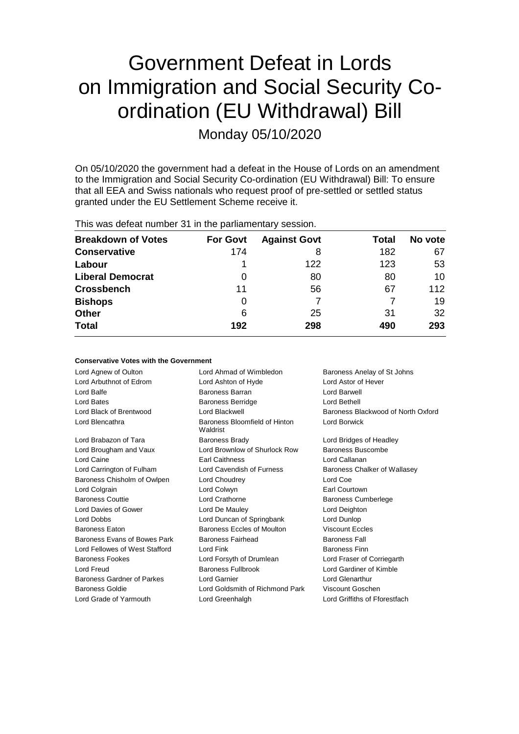## Government Defeat in Lords on Immigration and Social Security Coordination (EU Withdrawal) Bill

Monday 05/10/2020

On 05/10/2020 the government had a defeat in the House of Lords on an amendment to the Immigration and Social Security Co-ordination (EU Withdrawal) Bill: To ensure that all EEA and Swiss nationals who request proof of pre-settled or settled status granted under the EU Settlement Scheme receive it.

This was defeat number 31 in the parliamentary session.

| <b>Breakdown of Votes</b> | <b>For Govt</b> | <b>Against Govt</b> | Total | No vote |
|---------------------------|-----------------|---------------------|-------|---------|
| <b>Conservative</b>       | 174             | 8                   | 182   | 67      |
| Labour                    |                 | 122                 | 123   | 53      |
| <b>Liberal Democrat</b>   | 0               | 80                  | 80    | 10      |
| <b>Crossbench</b>         | 11              | 56                  | 67    | 112     |
| <b>Bishops</b>            | 0               |                     |       | 19      |
| <b>Other</b>              | 6               | 25                  | 31    | 32      |
| <b>Total</b>              | 192             | 298                 | 490   | 293     |

#### **Conservative Votes with the Government**

Lord Agnew of Oulton Lord Ahmad of Wimbledon Baroness Anelay of St Johns Lord Arbuthnot of Edrom Lord Ashton of Hyde Lord Astor of Hever Lord Balfe **Baroness Barran Lord Barwell** Baroness Barran **Lord Barwell** Lord Bates Baroness Berridge Lord Bethell Lord Black of Brentwood Lord Blackwell Baroness Blackwood of North Oxford Lord Blencathra **Baroness** Bloomfield of Hinton Waldrist Lord Borwick Lord Brabazon of Tara **Baroness Brady Communist Constructs** Lord Bridges of Headley Lord Brougham and Vaux Lord Brownlow of Shurlock Row Baroness Buscombe Lord Caine **Earl Caithness** Earl Caithness **Lord Callanan** Lord Carrington of Fulham Lord Cavendish of Furness Baroness Chalker of Wallasey Baroness Chisholm of Owlpen Lord Choudrey Lord Coe Lord Colgrain Lord Colwyn Earl Courtown Baroness Couttie Lord Crathorne Baroness Cumberlege Lord Davies of Gower Lord De Mauley Lord Deighton Lord Dobbs Lord Duncan of Springbank Lord Dunlop Baroness Eaton Baroness Eccles of Moulton Viscount Eccles Baroness Evans of Bowes Park Baroness Fairhead Baroness Fall Lord Fellowes of West Stafford Lord Fink Lord Finness Finn Baroness Fookes **Lord Forsyth of Drumlean** Lord Fraser of Corriegarth Lord Freud Baroness Fullbrook Lord Gardiner of Kimble Baroness Gardner of Parkes Lord Garnier Lord Glenarthur Baroness Goldie Lord Goldsmith of Richmond Park Viscount Goschen Lord Grade of Yarmouth Lord Greenhalgh Lord Griffiths of Fforestfach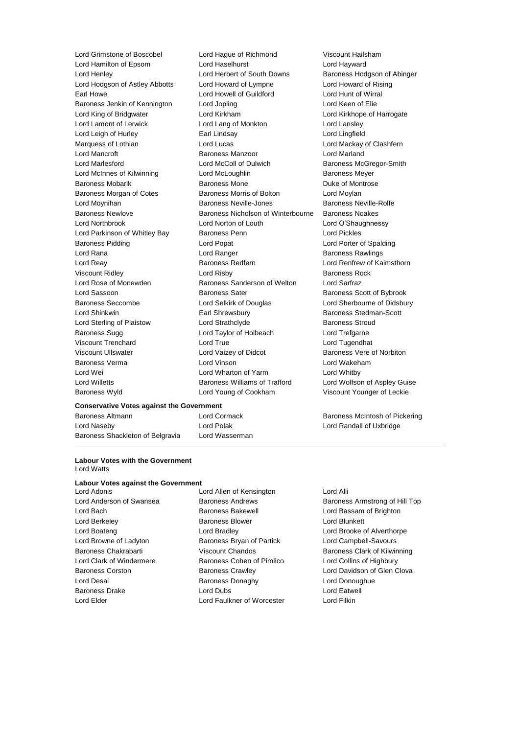**Conservative Votes against the Government** Lord Grimstone of Boscobel Lord Hague of Richmond Viscount Hailsham<br>
Lord Hamilton of Epsom Lord Haselhurst Lord Haselhurst Lord Havward Lord Hamilton of Epsom Lord Haselhurst Lord Hayward Lord Henley Lord Herbert of South Downs Baroness Hodgson of Abinger Lord Hodgson of Astley Abbotts Lord Howard of Lympne Lord Howard of Rising Earl Howe Lord Howell of Guildford Lord Hunt of Wirral Baroness Jenkin of Kennington Lord Jopling Corporation Lord Keen of Elie Lord King of Bridgwater **Lord Kirkham** Lord Kirkham Lord Kirkhope of Harrogate Lord Lamont of Lerwick Lord Lang of Monkton Lord Lansley Lord Leigh of Hurley **Earl Lindsay** Earl Lindsay **Lord Lingfield** Marquess of Lothian **Lord Lucas** Lord Lucas **Lord Mackay of Clashfern** Lord Mancroft **Baroness Manzoor Baroness Manzoor** Lord Marland Lord Marlesford **Lord McColl of Dulwich Baroness McGregor-Smith** Baroness McGregor-Smith Lord McInnes of Kilwinning Lord McLoughlin Baroness Meyer Baroness Mobarik **Baroness Mone** Baroness Mone Duke of Montrose Baroness Morgan of Cotes Baroness Morris of Bolton Lord Moylan Lord Moynihan **Baroness Neville-Jones** Baroness Neville-Rolfe Baroness Newlove Baroness Nicholson of Winterbourne Baroness Noakes Lord Northbrook Lord Norton of Louth Lord O'Shaughnessy Lord Parkinson of Whitley Bay Baroness Penn **Lord Pickles** Baroness Pidding Lord Popat Lord Porter of Spalding Lord Rana **Lord Ranger Lord Ranger Baroness Rawlings Lord Ranger Baroness Rawlings** Lord Reay Baroness Redfern Lord Renfrew of Kaimsthorn Viscount Ridley **Communist Communist Communist Communist Communist Communist Communist Communist Communist Communist Communist Communist Communist Communist Communist Communist Communist Communist Communist Communist Commu** Lord Rose of Monewden Baroness Sanderson of Welton Lord Sarfraz Lord Sassoon **Baroness Sater** Baroness Sater Baroness Scott of Bybrook Baroness Seccombe Lord Selkirk of Douglas Lord Sherbourne of Didsbury Lord Shinkwin Earl Shrewsbury Baroness Stedman-Scott Lord Sterling of Plaistow Lord Strathclyde **Baroness Stroud** Baroness Sugg Lord Taylor of Holbeach Lord Trefgarne Viscount Trenchard Lord True Lord Tugendhat Viscount Ullswater **Lord Vaizey of Didcot** Baroness Vere of Norbiton Baroness Verma Lord Vinson Lord Wakeham Lord Wei **Lord Wharton of Yarm** Cord Whatby Lord Whitby Lord Willetts Baroness Williams of Trafford Lord Wolfson of Aspley Guise Baroness Wyld Lord Young of Cookham Viscount Younger of Leckie

## Baroness Altmann Lord Cormack Baroness McIntosh of Pickering

Lord Naseby Lord Polak Lord Randall of Uxbridge Baroness Shackleton of Belgravia Lord Wasserman

#### **Labour Votes with the Government** Lord Watts

### **Labour Votes against the Government**

- Lord Bach Baroness Bakewell Lord Bassam of Brighton Lord Berkeley **Baroness Blower Baroness Blower Lord Blunkett** Lord Boateng Lord Bradley Lord Brooke of Alverthorpe Lord Browne of Ladyton Baroness Bryan of Partick Lord Campbell-Savours Lord Clark of Windermere Baroness Cohen of Pimlico Lord Collins of Highbury Lord Desai **Baroness Donaghy** Lord Donoughue Baroness Drake Lord Dubs Lord Eatwell Lord Elder Lord Faulkner of Worcester Lord Filkin
- Lord Allen of Kensington Lord Alli

# Lord Anderson of Swansea Baroness Andrews Baroness Armstrong of Hill Top Baroness Chakrabarti Viscount Chandos Baroness Clark of Kilwinning Baroness Corston Baroness Crawley Lord Davidson of Glen Clova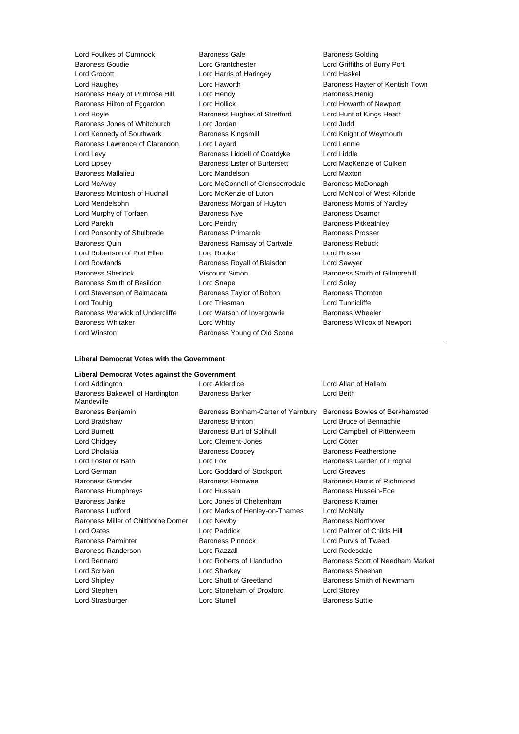| Lord Foulkes of Cumnock         | <b>Baroness Gale</b><br><b>Baroness Golding</b> |                                 |  |
|---------------------------------|-------------------------------------------------|---------------------------------|--|
| <b>Baroness Goudie</b>          | Lord Grantchester                               | Lord Griffiths of Burry Port    |  |
| Lord Grocott                    | Lord Harris of Haringey                         | Lord Haskel                     |  |
| Lord Haughey                    | Lord Haworth                                    | Baroness Hayter of Kentish Town |  |
| Baroness Healy of Primrose Hill | Lord Hendy                                      | <b>Baroness Henig</b>           |  |
| Baroness Hilton of Eggardon     | Lord Hollick                                    | Lord Howarth of Newport         |  |
| Lord Hoyle                      | Baroness Hughes of Stretford                    | Lord Hunt of Kings Heath        |  |
| Baroness Jones of Whitchurch    | Lord Jordan                                     | Lord Judd                       |  |
| Lord Kennedy of Southwark       | Baroness Kingsmill                              | Lord Knight of Weymouth         |  |
| Baroness Lawrence of Clarendon  | Lord Layard                                     | Lord Lennie                     |  |
| Lord Levy                       | Baroness Liddell of Coatdyke                    | Lord Liddle                     |  |
| Lord Lipsey                     | Baroness Lister of Burtersett                   | Lord MacKenzie of Culkein       |  |
| <b>Baroness Mallalieu</b>       | Lord Mandelson                                  | Lord Maxton                     |  |
| Lord McAvoy                     | Lord McConnell of Glenscorrodale                | Baroness McDonagh               |  |
| Baroness McIntosh of Hudnall    | Lord McKenzie of Luton                          | Lord McNicol of West Kilbride   |  |
| Lord Mendelsohn                 | Baroness Morgan of Huyton                       | Baroness Morris of Yardley      |  |
| Lord Murphy of Torfaen          | <b>Baroness Nye</b>                             | <b>Baroness Osamor</b>          |  |
| Lord Parekh                     | Lord Pendry                                     | <b>Baroness Pitkeathley</b>     |  |
| Lord Ponsonby of Shulbrede      | Baroness Primarolo                              | <b>Baroness Prosser</b>         |  |
| Baroness Quin                   | Baroness Ramsay of Cartvale                     | <b>Baroness Rebuck</b>          |  |
| Lord Robertson of Port Ellen    | Lord Rooker                                     | Lord Rosser                     |  |
| <b>Lord Rowlands</b>            | Baroness Royall of Blaisdon                     | Lord Sawyer                     |  |
| <b>Baroness Sherlock</b>        | Viscount Simon                                  | Baroness Smith of Gilmorehill   |  |
| Baroness Smith of Basildon      | Lord Snape                                      | Lord Soley                      |  |
| Lord Stevenson of Balmacara     | Baroness Taylor of Bolton                       | <b>Baroness Thornton</b>        |  |
| Lord Touhig                     | Lord Triesman                                   | Lord Tunnicliffe                |  |
| Baroness Warwick of Undercliffe | Lord Watson of Invergowrie<br>Baroness Wheeler  |                                 |  |
| <b>Baroness Whitaker</b>        | Lord Whitty                                     | Baroness Wilcox of Newport      |  |
| Lord Winston                    | Baroness Young of Old Scone                     |                                 |  |
|                                 |                                                 |                                 |  |

#### **Liberal Democrat Votes with the Government**

#### **Liberal Democrat Votes against the Government**

| Lord Addington                                | Lord Alderdice                     | Lord Allan of Hallam             |  |
|-----------------------------------------------|------------------------------------|----------------------------------|--|
| Baroness Bakewell of Hardington<br>Mandeville | <b>Baroness Barker</b>             | Lord Beith                       |  |
| Baroness Benjamin                             | Baroness Bonham-Carter of Yarnbury | Baroness Bowles of Berkhamsted   |  |
| Lord Bradshaw                                 | <b>Baroness Brinton</b>            | Lord Bruce of Bennachie          |  |
| Lord Burnett                                  | Baroness Burt of Solihull          | Lord Campbell of Pittenweem      |  |
| Lord Chidgey                                  | Lord Clement-Jones                 | <b>Lord Cotter</b>               |  |
| Lord Dholakia                                 | <b>Baroness Doocey</b>             | Baroness Featherstone            |  |
| Lord Foster of Bath                           | Lord Fox                           | Baroness Garden of Frognal       |  |
| Lord German                                   | Lord Goddard of Stockport          | Lord Greaves                     |  |
| <b>Baroness Grender</b>                       | Baroness Hamwee                    | Baroness Harris of Richmond      |  |
| <b>Baroness Humphreys</b>                     | Lord Hussain                       | Baroness Hussein-Ece             |  |
| Baroness Janke                                | Lord Jones of Cheltenham           | Baroness Kramer                  |  |
| <b>Baroness Ludford</b>                       | Lord Marks of Henley-on-Thames     | Lord McNally                     |  |
| Baroness Miller of Chilthorne Domer           | Lord Newby                         | <b>Baroness Northover</b>        |  |
| <b>Lord Oates</b>                             | Lord Paddick                       | Lord Palmer of Childs Hill       |  |
| <b>Baroness Parminter</b>                     | <b>Baroness Pinnock</b>            | Lord Purvis of Tweed             |  |
| <b>Baroness Randerson</b>                     | Lord Razzall                       | Lord Redesdale                   |  |
| Lord Rennard                                  | Lord Roberts of Llandudno          | Baroness Scott of Needham Market |  |
| Lord Scriven                                  | Lord Sharkey                       | Baroness Sheehan                 |  |
| Lord Shipley                                  | Lord Shutt of Greetland            | Baroness Smith of Newnham        |  |
| Lord Stephen                                  | Lord Stoneham of Droxford          | Lord Storey                      |  |
| Lord Strasburger                              | Lord Stunell                       | <b>Baroness Suttie</b>           |  |
|                                               |                                    |                                  |  |